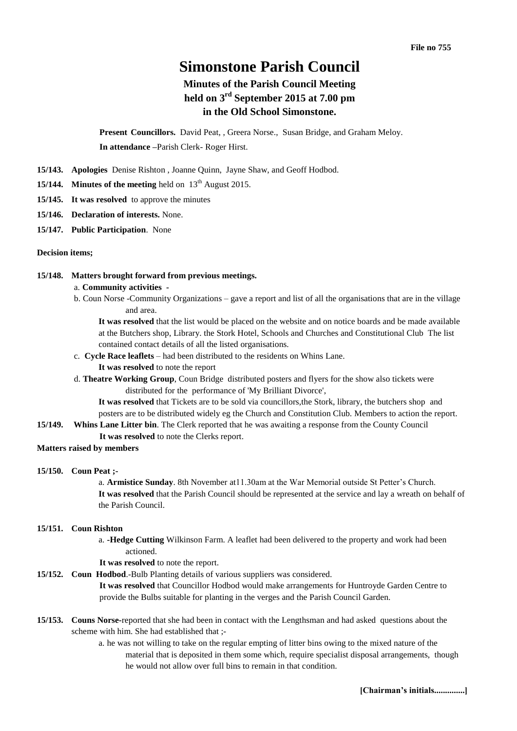# **Simonstone Parish Council**

## **Minutes of the Parish Council Meeting held on 3 rd September 2015 at 7.00 pm in the Old School Simonstone.**

**Present Councillors.** David Peat, , Greera Norse., Susan Bridge, and Graham Meloy. **In attendance –**Parish Clerk- Roger Hirst.

- **15/143. Apologies** Denise Rishton , Joanne Quinn, Jayne Shaw, and Geoff Hodbod.
- **15/144. Minutes of the meeting** held on  $13<sup>th</sup>$  August 2015.
- **15/145. It was resolved** to approve the minutes
- **15/146. Declaration of interests.** None.
- **15/147. Public Participation**. None

#### **Decision items;**

#### **15/148. Matters brought forward from previous meetings.**

#### a. **Community activities -**

b. Coun Norse -Community Organizations – gave a report and list of all the organisations that are in the village and area.

**It was resolved** that the list would be placed on the website and on notice boards and be made available at the Butchers shop, Library. the Stork Hotel, Schools and Churches and Constitutional Club The list contained contact details of all the listed organisations.

- c. **Cycle Race leaflets** had been distributed to the residents on Whins Lane.
	- **It was resolved** to note the report
- d. **Theatre Working Group**, Coun Bridge distributed posters and flyers for the show also tickets were distributed for the performance of 'My Brilliant Divorce',

**It was resolved** that Tickets are to be sold via councillors,the Stork, library, the butchers shop and posters are to be distributed widely eg the Church and Constitution Club. Members to action the report.

**15/149. Whins Lane Litter bin**. The Clerk reported that he was awaiting a response from the County Council **It was resolved** to note the Clerks report.

#### **Matters raised by members**

## **15/150. Coun Peat ;-**

a. **Armistice Sunday**. 8th November at11.30am at the War Memorial outside St Petter's Church. **It was resolved** that the Parish Council should be represented at the service and lay a wreath on behalf of the Parish Council.

#### **15/151. Coun Rishton**

- a. **-Hedge Cutting** Wilkinson Farm. A leaflet had been delivered to the property and work had been actioned.
- **It was resolved** to note the report.
- **15/152. Coun Hodbod**.-Bulb Planting details of various suppliers was considered.

**It was resolved** that Councillor Hodbod would make arrangements for Huntroyde Garden Centre to provide the Bulbs suitable for planting in the verges and the Parish Council Garden.

- **15/153. Couns Norse-**reported that she had been in contact with the Lengthsman and had asked questions about the scheme with him. She had established that ;
	- a. he was not willing to take on the regular empting of litter bins owing to the mixed nature of the material that is deposited in them some which, require specialist disposal arrangements, though he would not allow over full bins to remain in that condition.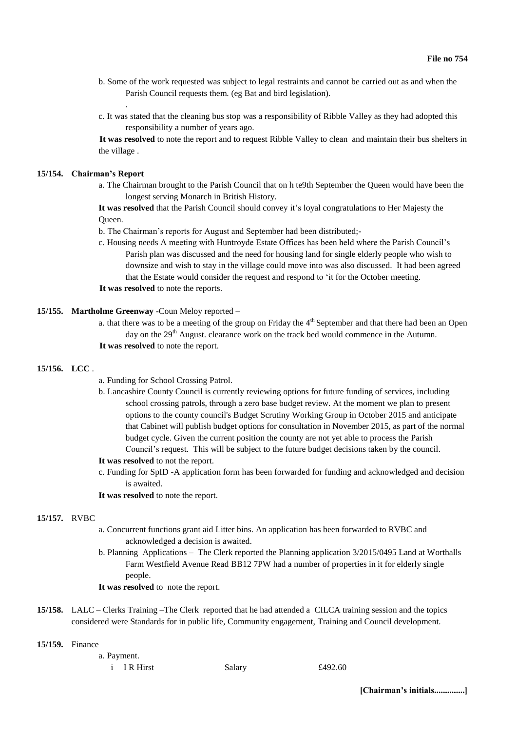- b. Some of the work requested was subject to legal restraints and cannot be carried out as and when the Parish Council requests them. (eg Bat and bird legislation).
- c. It was stated that the cleaning bus stop was a responsibility of Ribble Valley as they had adopted this responsibility a number of years ago.

**It was resolved** to note the report and to request Ribble Valley to clean and maintain their bus shelters in the village .

## **15/154. Chairman's Report**

.

a. The Chairman brought to the Parish Council that on h te9th September the Queen would have been the longest serving Monarch in British History.

**It was resolved** that the Parish Council should convey it's loyal congratulations to Her Majesty the Queen.

- b. The Chairman's reports for August and September had been distributed;-
- c. Housing needs A meeting with Huntroyde Estate Offices has been held where the Parish Council's Parish plan was discussed and the need for housing land for single elderly people who wish to downsize and wish to stay in the village could move into was also discussed. It had been agreed that the Estate would consider the request and respond to 'it for the October meeting.

**It was resolved** to note the reports.

### **15/155. Martholme Greenway** -Coun Meloy reported –

a. that there was to be a meeting of the group on Friday the  $4<sup>th</sup>$  September and that there had been an Open day on the 29<sup>th</sup> August. clearance work on the track bed would commence in the Autumn. **It was resolved** to note the report.

## **15/156. LCC** .

- a. Funding for School Crossing Patrol.
- b. Lancashire County Council is currently reviewing options for future funding of services, including school crossing patrols, through a zero base budget review. At the moment we plan to present options to the county council's Budget Scrutiny Working Group in October 2015 and anticipate that Cabinet will publish budget options for consultation in November 2015, as part of the normal budget cycle. Given the current position the county are not yet able to process the Parish Council's request. This will be subject to the future budget decisions taken by the council.

## **It was resolved** to not the report.

- c. Funding for SpID -A application form has been forwarded for funding and acknowledged and decision is awaited.
- **It was resolved** to note the report.

#### **15/157.** RVBC

- a. Concurrent functions grant aid Litter bins. An application has been forwarded to RVBC and acknowledged a decision is awaited.
- b. Planning Applications The Clerk reported the Planning application 3/2015/0495 Land at Worthalls Farm Westfield Avenue Read BB12 7PW had a number of properties in it for elderly single people.
- **It was resolved** to note the report.
- **15/158.** LALC Clerks Training –The Clerk reported that he had attended a CILCA training session and the topics considered were Standards for in public life, Community engagement, Training and Council development.

#### **15/159.** Finance

a. Payment.

i IR Hirst Salary £492.60